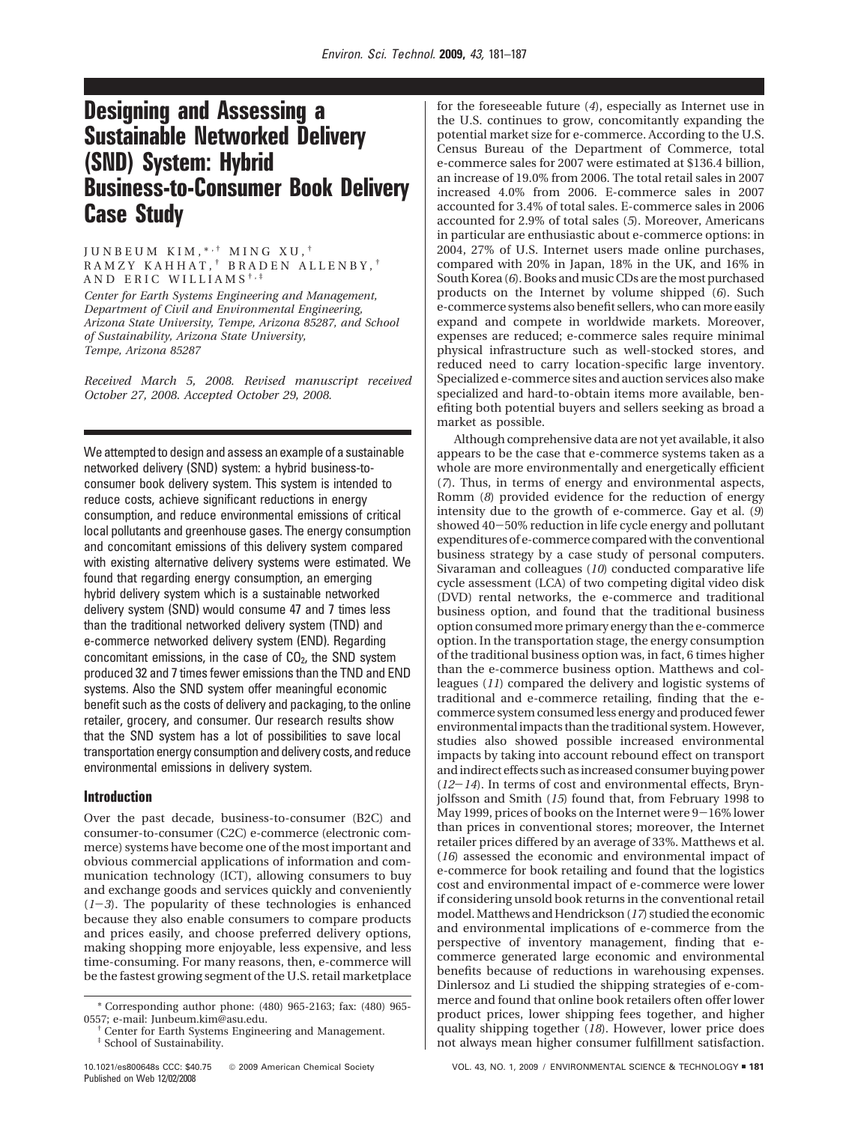# **Designing and Assessing a Sustainable Networked Delivery (SND) System: Hybrid Business-to-Consumer Book Delivery Case Study**

JUNBEUM KIM, \* <sup>, †</sup> MING XU, <sup>†</sup> RAMZY KAHHAT, † BRADEN ALLENBY, † AND ERIC WILLIAMS †,‡

*Center for Earth Systems Engineering and Management, Department of Civil and Environmental Engineering, Arizona State University, Tempe, Arizona 85287, and School of Sustainability, Arizona State University, Tempe, Arizona 85287*

*Received March 5, 2008. Revised manuscript received October 27, 2008. Accepted October 29, 2008.*

We attempted to design and assess an example of a sustainable networked delivery (SND) system: a hybrid business-toconsumer book delivery system. This system is intended to reduce costs, achieve significant reductions in energy consumption, and reduce environmental emissions of critical local pollutants and greenhouse gases. The energy consumption and concomitant emissions of this delivery system compared with existing alternative delivery systems were estimated. We found that regarding energy consumption, an emerging hybrid delivery system which is a sustainable networked delivery system (SND) would consume 47 and 7 times less than the traditional networked delivery system (TND) and e-commerce networked delivery system (END). Regarding concomitant emissions, in the case of  $CO<sub>2</sub>$ , the SND system produced 32 and 7 times fewer emissions than the TND and END systems. Also the SND system offer meaningful economic benefit such as the costs of delivery and packaging, to the online retailer, grocery, and consumer. Our research results show that the SND system has a lot of possibilities to save local transportation energy consumption and delivery costs, and reduce environmental emissions in delivery system.

## **Introduction**

Over the past decade, business-to-consumer (B2C) and consumer-to-consumer (C2C) e-commerce (electronic commerce) systems have become one of the most important and obvious commercial applications of information and communication technology (ICT), allowing consumers to buy and exchange goods and services quickly and conveniently  $(1-3)$ . The popularity of these technologies is enhanced because they also enable consumers to compare products and prices easily, and choose preferred delivery options, making shopping more enjoyable, less expensive, and less time-consuming. For many reasons, then, e-commerce will be the fastest growing segment of the U.S. retail marketplace

for the foreseeable future (*4*), especially as Internet use in the U.S. continues to grow, concomitantly expanding the potential market size for e-commerce. According to the U.S. Census Bureau of the Department of Commerce, total e-commerce sales for 2007 were estimated at \$136.4 billion, an increase of 19.0% from 2006. The total retail sales in 2007 increased 4.0% from 2006. E-commerce sales in 2007 accounted for 3.4% of total sales. E-commerce sales in 2006 accounted for 2.9% of total sales (*5*). Moreover, Americans in particular are enthusiastic about e-commerce options: in 2004, 27% of U.S. Internet users made online purchases, compared with 20% in Japan, 18% in the UK, and 16% in South Korea (*6*). Books and music CDs are the most purchased products on the Internet by volume shipped (*6*). Such e-commerce systems also benefit sellers, who can more easily expand and compete in worldwide markets. Moreover, expenses are reduced; e-commerce sales require minimal physical infrastructure such as well-stocked stores, and reduced need to carry location-specific large inventory. Specialized e-commerce sites and auction services also make specialized and hard-to-obtain items more available, benefiting both potential buyers and sellers seeking as broad a market as possible.

Although comprehensive data are not yet available, it also appears to be the case that e-commerce systems taken as a whole are more environmentally and energetically efficient (*7*). Thus, in terms of energy and environmental aspects, Romm (*8*) provided evidence for the reduction of energy intensity due to the growth of e-commerce. Gay et al. (*9*) showed 40-50% reduction in life cycle energy and pollutant expenditures of e-commerce compared with the conventional business strategy by a case study of personal computers. Sivaraman and colleagues (*10*) conducted comparative life cycle assessment (LCA) of two competing digital video disk (DVD) rental networks, the e-commerce and traditional business option, and found that the traditional business option consumed more primary energy than the e-commerce option. In the transportation stage, the energy consumption of the traditional business option was, in fact, 6 times higher than the e-commerce business option. Matthews and colleagues (*11*) compared the delivery and logistic systems of traditional and e-commerce retailing, finding that the ecommerce system consumed less energy and produced fewer environmental impacts than the traditional system. However, studies also showed possible increased environmental impacts by taking into account rebound effect on transport and indirect effects such as increased consumer buying power (*12*-*14*). In terms of cost and environmental effects, Brynjolfsson and Smith (*15*) found that, from February 1998 to May 1999, prices of books on the Internet were 9-16% lower than prices in conventional stores; moreover, the Internet retailer prices differed by an average of 33%. Matthews et al. (*16*) assessed the economic and environmental impact of e-commerce for book retailing and found that the logistics cost and environmental impact of e-commerce were lower if considering unsold book returns in the conventional retail model. Matthews and Hendrickson (*17*) studied the economic and environmental implications of e-commerce from the perspective of inventory management, finding that ecommerce generated large economic and environmental benefits because of reductions in warehousing expenses. Dinlersoz and Li studied the shipping strategies of e-commerce and found that online book retailers often offer lower product prices, lower shipping fees together, and higher quality shipping together (*18*). However, lower price does not always mean higher consumer fulfillment satisfaction.

<sup>\*</sup> Corresponding author phone: (480) 965-2163; fax: (480) 965- 0557; e-mail: Junbeum.kim@asu.edu. † Center for Earth Systems Engineering and Management.

<sup>‡</sup> School of Sustainability.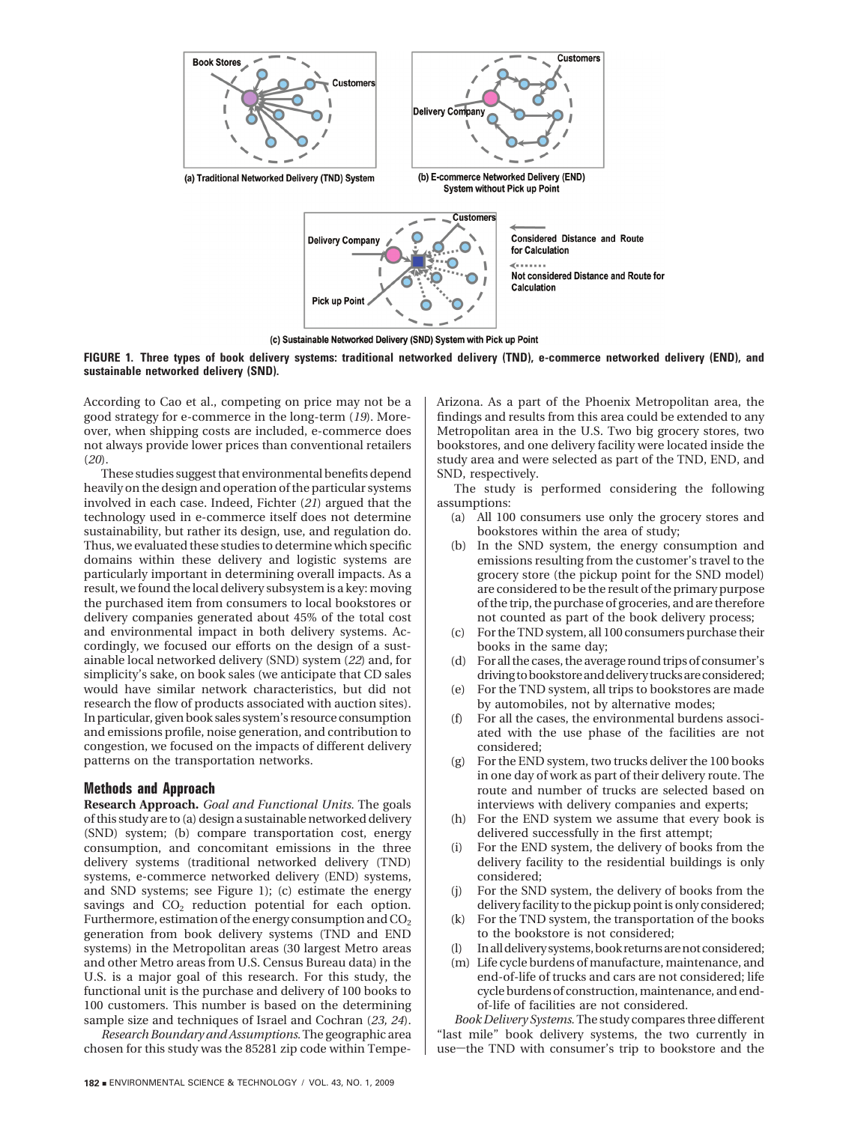

(c) Sustainable Networked Delivery (SND) System with Pick up Point

### **FIGURE 1. Three types of book delivery systems: traditional networked delivery (TND), e-commerce networked delivery (END), and sustainable networked delivery (SND).**

According to Cao et al., competing on price may not be a good strategy for e-commerce in the long-term (*19*). Moreover, when shipping costs are included, e-commerce does not always provide lower prices than conventional retailers (*20*).

These studies suggest that environmental benefits depend heavily on the design and operation of the particular systems involved in each case. Indeed, Fichter (*21*) argued that the technology used in e-commerce itself does not determine sustainability, but rather its design, use, and regulation do. Thus, we evaluated these studies to determine which specific domains within these delivery and logistic systems are particularly important in determining overall impacts. As a result, we found the local delivery subsystem is a key: moving the purchased item from consumers to local bookstores or delivery companies generated about 45% of the total cost and environmental impact in both delivery systems. Accordingly, we focused our efforts on the design of a sustainable local networked delivery (SND) system (*22*) and, for simplicity's sake, on book sales (we anticipate that CD sales would have similar network characteristics, but did not research the flow of products associated with auction sites). In particular, given book sales system's resource consumption and emissions profile, noise generation, and contribution to congestion, we focused on the impacts of different delivery patterns on the transportation networks.

# **Methods and Approach**

**Research Approach.** *Goal and Functional Units.* The goals of this study are to (a) design a sustainable networked delivery (SND) system; (b) compare transportation cost, energy consumption, and concomitant emissions in the three delivery systems (traditional networked delivery (TND) systems, e-commerce networked delivery (END) systems, and SND systems; see Figure 1); (c) estimate the energy savings and  $CO<sub>2</sub>$  reduction potential for each option. Furthermore, estimation of the energy consumption and  $CO<sub>2</sub>$ generation from book delivery systems (TND and END systems) in the Metropolitan areas (30 largest Metro areas and other Metro areas from U.S. Census Bureau data) in the U.S. is a major goal of this research. For this study, the functional unit is the purchase and delivery of 100 books to 100 customers. This number is based on the determining sample size and techniques of Israel and Cochran (*23, 24*).

*Research Boundary and Assumptions.*The geographic area chosen for this study was the 85281 zip code within TempeArizona. As a part of the Phoenix Metropolitan area, the findings and results from this area could be extended to any Metropolitan area in the U.S. Two big grocery stores, two bookstores, and one delivery facility were located inside the study area and were selected as part of the TND, END, and SND, respectively.

The study is performed considering the following assumptions:

- (a) All 100 consumers use only the grocery stores and bookstores within the area of study;
- (b) In the SND system, the energy consumption and emissions resulting from the customer's travel to the grocery store (the pickup point for the SND model) are considered to be the result of the primary purpose of the trip, the purchase of groceries, and are therefore not counted as part of the book delivery process;
- (c) For the TND system, all 100 consumers purchase their books in the same day;
- (d) For all the cases, the average round trips of consumer's driving to bookstore and delivery trucks are considered;
- (e) For the TND system, all trips to bookstores are made by automobiles, not by alternative modes;
- (f) For all the cases, the environmental burdens associated with the use phase of the facilities are not considered;
- (g) For the END system, two trucks deliver the 100 books in one day of work as part of their delivery route. The route and number of trucks are selected based on interviews with delivery companies and experts;
- (h) For the END system we assume that every book is delivered successfully in the first attempt;
- (i) For the END system, the delivery of books from the delivery facility to the residential buildings is only considered;
- (j) For the SND system, the delivery of books from the delivery facility to the pickup point is only considered;
- (k) For the TND system, the transportation of the books to the bookstore is not considered;
- (l) Inalldeliverysystems,bookreturnsarenotconsidered;
- (m) Life cycle burdens of manufacture, maintenance, and end-of-life of trucks and cars are not considered; life cycle burdens of construction, maintenance, and endof-life of facilities are not considered.

*Book Delivery Systems.*The study compares three different "last mile" book delivery systems, the two currently in use-the TND with consumer's trip to bookstore and the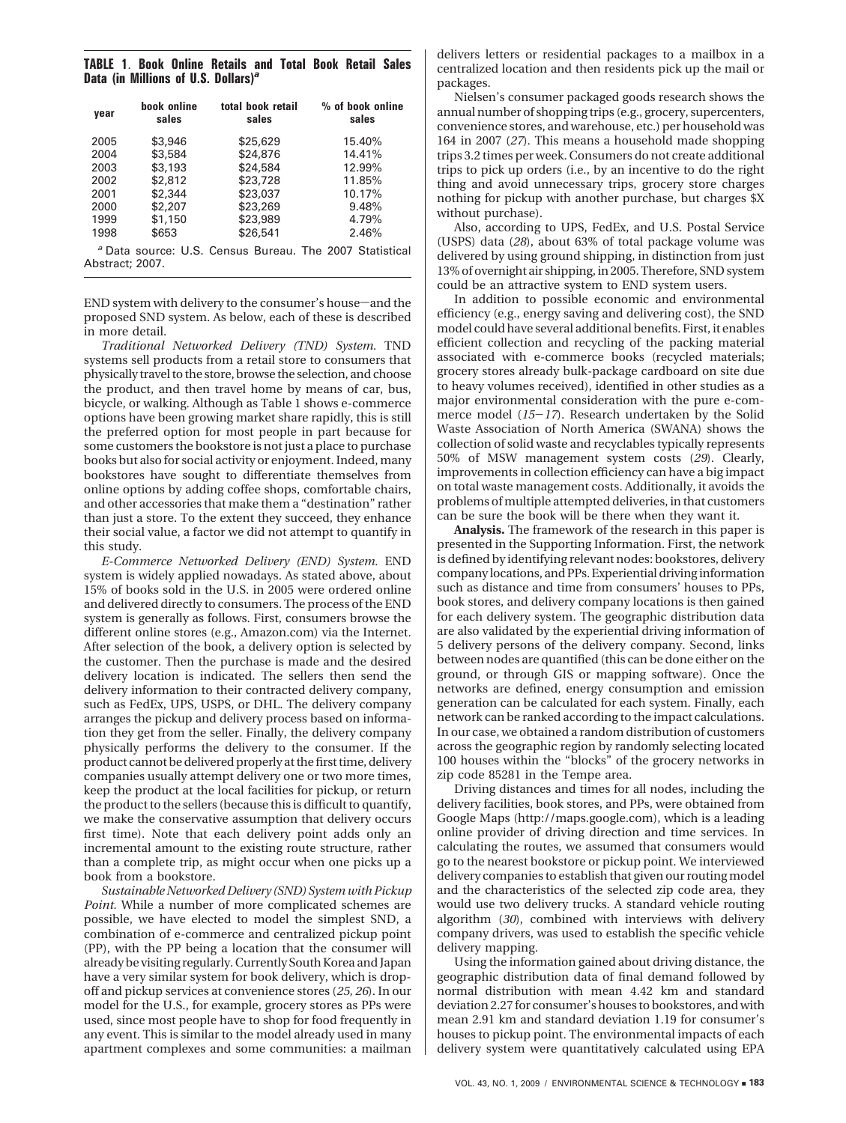# **TABLE 1**. **Book Online Retails and Total Book Retail Sales Data (in Millions of U.S. Dollars)***<sup>a</sup>*

| year            | book online<br>sales | total book retail<br>sales | % of book online<br>sales                                          |
|-----------------|----------------------|----------------------------|--------------------------------------------------------------------|
| 2005            | \$3,946              | \$25,629                   | 15.40%                                                             |
| 2004            | \$3,584              | \$24,876                   | 14.41%                                                             |
| 2003            | \$3,193              | \$24,584                   | 12.99%                                                             |
| 2002            | \$2,812              | \$23,728                   | 11.85%                                                             |
| 2001            | \$2,344              | \$23,037                   | 10.17%                                                             |
| 2000            | \$2,207              | \$23,269                   | 9.48%                                                              |
| 1999            | \$1,150              | \$23,989                   | 4.79%                                                              |
| 1998            | \$653                | \$26,541                   | 2.46%                                                              |
| Abstract; 2007. |                      |                            | <sup>a</sup> Data source: U.S. Census Bureau. The 2007 Statistical |

END system with delivery to the consumer's house-and the proposed SND system. As below, each of these is described in more detail.

*Traditional Networked Delivery (TND) System.* TND systems sell products from a retail store to consumers that physically travel to the store, browse the selection, and choose the product, and then travel home by means of car, bus, bicycle, or walking. Although as Table 1 shows e-commerce options have been growing market share rapidly, this is still the preferred option for most people in part because for some customers the bookstore is not just a place to purchase books but also for social activity or enjoyment. Indeed, many bookstores have sought to differentiate themselves from online options by adding coffee shops, comfortable chairs, and other accessories that make them a "destination" rather than just a store. To the extent they succeed, they enhance their social value, a factor we did not attempt to quantify in this study.

*E-Commerce Networked Delivery (END) System.* END system is widely applied nowadays. As stated above, about 15% of books sold in the U.S. in 2005 were ordered online and delivered directly to consumers. The process of the END system is generally as follows. First, consumers browse the different online stores (e.g., Amazon.com) via the Internet. After selection of the book, a delivery option is selected by the customer. Then the purchase is made and the desired delivery location is indicated. The sellers then send the delivery information to their contracted delivery company, such as FedEx, UPS, USPS, or DHL. The delivery company arranges the pickup and delivery process based on information they get from the seller. Finally, the delivery company physically performs the delivery to the consumer. If the product cannot be delivered properly at the first time, delivery companies usually attempt delivery one or two more times, keep the product at the local facilities for pickup, or return the product to the sellers (because this is difficult to quantify, we make the conservative assumption that delivery occurs first time). Note that each delivery point adds only an incremental amount to the existing route structure, rather than a complete trip, as might occur when one picks up a book from a bookstore.

*Sustainable Networked Delivery (SND) System with Pickup Point.* While a number of more complicated schemes are possible, we have elected to model the simplest SND, a combination of e-commerce and centralized pickup point (PP), with the PP being a location that the consumer will already be visiting regularly. Currently South Korea and Japan have a very similar system for book delivery, which is dropoff and pickup services at convenience stores (*25, 26*). In our model for the U.S., for example, grocery stores as PPs were used, since most people have to shop for food frequently in any event. This is similar to the model already used in many apartment complexes and some communities: a mailman

delivers letters or residential packages to a mailbox in a centralized location and then residents pick up the mail or packages.

Nielsen's consumer packaged goods research shows the annual number of shopping trips (e.g., grocery, supercenters, convenience stores, and warehouse, etc.) per household was 164 in 2007 (*27*). This means a household made shopping trips 3.2 times per week. Consumers do not create additional trips to pick up orders (i.e., by an incentive to do the right thing and avoid unnecessary trips, grocery store charges nothing for pickup with another purchase, but charges \$X without purchase).

Also, according to UPS, FedEx, and U.S. Postal Service (USPS) data (*28*), about 63% of total package volume was delivered by using ground shipping, in distinction from just 13% of overnight air shipping, in 2005. Therefore, SND system could be an attractive system to END system users.

In addition to possible economic and environmental efficiency (e.g., energy saving and delivering cost), the SND model could have several additional benefits. First, it enables efficient collection and recycling of the packing material associated with e-commerce books (recycled materials; grocery stores already bulk-package cardboard on site due to heavy volumes received), identified in other studies as a major environmental consideration with the pure e-commerce model (*15*-*17*). Research undertaken by the Solid Waste Association of North America (SWANA) shows the collection of solid waste and recyclables typically represents 50% of MSW management system costs (*29*). Clearly, improvements in collection efficiency can have a big impact on total waste management costs. Additionally, it avoids the problems of multiple attempted deliveries, in that customers can be sure the book will be there when they want it.

**Analysis.** The framework of the research in this paper is presented in the Supporting Information. First, the network is defined by identifying relevant nodes: bookstores, delivery company locations, and PPs. Experiential driving information such as distance and time from consumers' houses to PPs, book stores, and delivery company locations is then gained for each delivery system. The geographic distribution data are also validated by the experiential driving information of 5 delivery persons of the delivery company. Second, links between nodes are quantified (this can be done either on the ground, or through GIS or mapping software). Once the networks are defined, energy consumption and emission generation can be calculated for each system. Finally, each network can be ranked according to the impact calculations. In our case, we obtained a random distribution of customers across the geographic region by randomly selecting located 100 houses within the "blocks" of the grocery networks in zip code 85281 in the Tempe area.

Driving distances and times for all nodes, including the delivery facilities, book stores, and PPs, were obtained from Google Maps (http://maps.google.com), which is a leading online provider of driving direction and time services. In calculating the routes, we assumed that consumers would go to the nearest bookstore or pickup point. We interviewed delivery companies to establish that given our routing model and the characteristics of the selected zip code area, they would use two delivery trucks. A standard vehicle routing algorithm (*30*), combined with interviews with delivery company drivers, was used to establish the specific vehicle delivery mapping.

Using the information gained about driving distance, the geographic distribution data of final demand followed by normal distribution with mean 4.42 km and standard deviation 2.27 for consumer's houses to bookstores, and with mean 2.91 km and standard deviation 1.19 for consumer's houses to pickup point. The environmental impacts of each delivery system were quantitatively calculated using EPA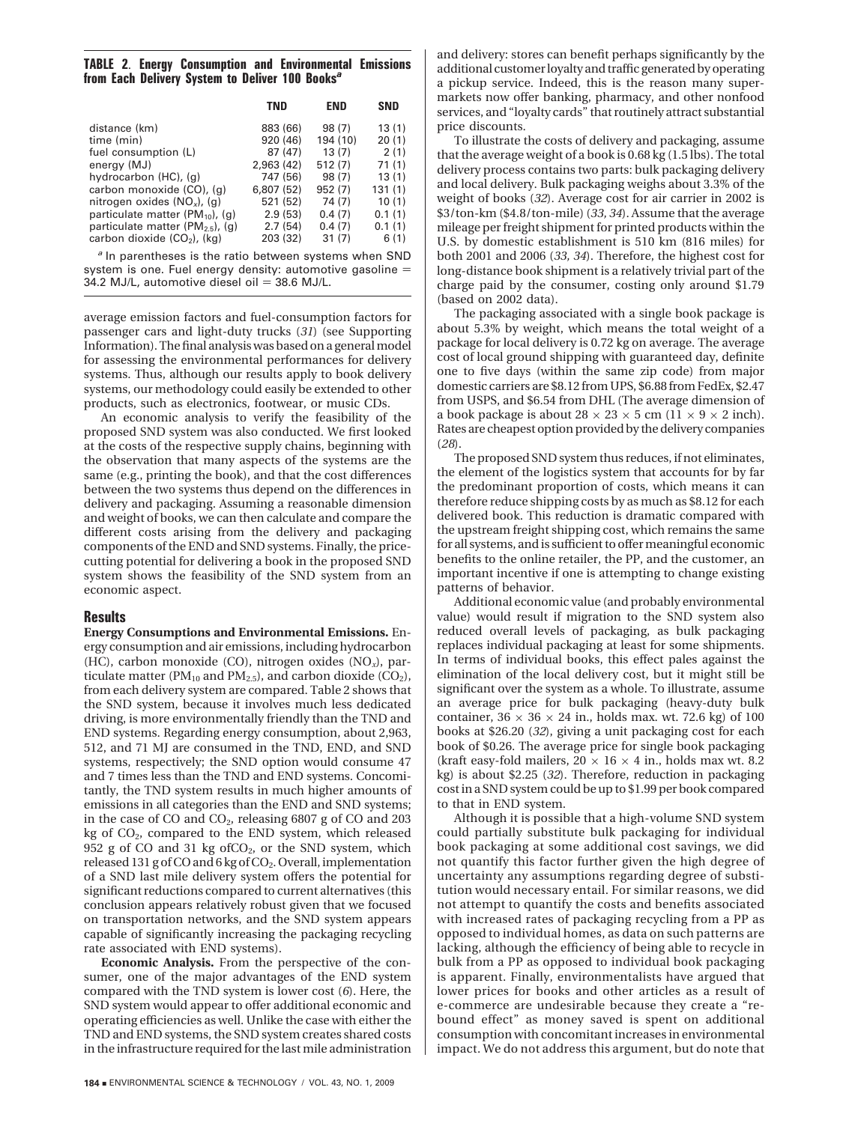**TABLE 2**. **Energy Consumption and Environmental Emissions from Each Delivery System to Deliver 100 Books***<sup>a</sup>*

|                                             | TND       | <b>END</b> | SND    |
|---------------------------------------------|-----------|------------|--------|
| distance (km)                               | 883 (66)  | 98(7)      | 13(1)  |
| time (min)                                  | 920 (46)  | 194 (10)   | 20(1)  |
| fuel consumption (L)                        | 87 (47)   | 13(7)      | 2(1)   |
| energy (MJ)                                 | 2,963(42) | 512(7)     | 71(1)  |
| hydrocarbon (HC), (q)                       | 747 (56)  | 98(7)      | 13(1)  |
| carbon monoxide (CO), (g)                   | 6,807(52) | 952(7)     | 131(1) |
| nitrogen oxides (NO <sub>x</sub> ), (g)     | 521 (52)  | 74 (7)     | 10(1)  |
| particulate matter $(PM_{10})$ , (g)        | 2.9(53)   | 0.4(7)     | 0.1(1) |
| particulate matter (PM <sub>25</sub> ), (g) | 2.7(54)   | 0.4(7)     | 0.1(1) |
| carbon dioxide $(CO2)$ , $(kq)$             | 203 (32)  | 31(7)      | 6(1)   |

*<sup>a</sup>* In parentheses is the ratio between systems when SND system is one. Fuel energy density: automotive gasoline  $=$ 34.2 MJ/L, automotive diesel oil  $=$  38.6 MJ/L.

average emission factors and fuel-consumption factors for passenger cars and light-duty trucks (*31*) (see Supporting Information). The final analysis was based on a general model for assessing the environmental performances for delivery systems. Thus, although our results apply to book delivery systems, our methodology could easily be extended to other products, such as electronics, footwear, or music CDs.

An economic analysis to verify the feasibility of the proposed SND system was also conducted. We first looked at the costs of the respective supply chains, beginning with the observation that many aspects of the systems are the same (e.g., printing the book), and that the cost differences between the two systems thus depend on the differences in delivery and packaging. Assuming a reasonable dimension and weight of books, we can then calculate and compare the different costs arising from the delivery and packaging components of the END and SND systems. Finally, the pricecutting potential for delivering a book in the proposed SND system shows the feasibility of the SND system from an economic aspect.

## **Results**

**Energy Consumptions and Environmental Emissions.** Energy consumption and air emissions, including hydrocarbon (HC), carbon monoxide (CO), nitrogen oxides (NO*x*), particulate matter ( $PM_{10}$  and  $PM_{2.5}$ ), and carbon dioxide ( $CO_2$ ), from each delivery system are compared. Table 2 shows that the SND system, because it involves much less dedicated driving, is more environmentally friendly than the TND and END systems. Regarding energy consumption, about 2,963, 512, and 71 MJ are consumed in the TND, END, and SND systems, respectively; the SND option would consume 47 and 7 times less than the TND and END systems. Concomitantly, the TND system results in much higher amounts of emissions in all categories than the END and SND systems; in the case of CO and  $CO<sub>2</sub>$ , releasing 6807 g of CO and 203 kg of CO2, compared to the END system, which released 952 g of CO and 31 kg of $CO<sub>2</sub>$ , or the SND system, which released 131 g of CO and 6 kg of CO<sub>2</sub>. Overall, implementation of a SND last mile delivery system offers the potential for significant reductions compared to current alternatives (this conclusion appears relatively robust given that we focused on transportation networks, and the SND system appears capable of significantly increasing the packaging recycling rate associated with END systems).

**Economic Analysis.** From the perspective of the consumer, one of the major advantages of the END system compared with the TND system is lower cost (*6*). Here, the SND system would appear to offer additional economic and operating efficiencies as well. Unlike the case with either the TND and END systems, the SND system creates shared costs in the infrastructure required for the last mile administration and delivery: stores can benefit perhaps significantly by the additional customer loyalty and traffic generated by operating a pickup service. Indeed, this is the reason many supermarkets now offer banking, pharmacy, and other nonfood services, and "loyalty cards" that routinely attract substantial price discounts.

To illustrate the costs of delivery and packaging, assume that the average weight of a book is 0.68 kg (1.5 lbs). The total delivery process contains two parts: bulk packaging delivery and local delivery. Bulk packaging weighs about 3.3% of the weight of books (*32*). Average cost for air carrier in 2002 is \$3/ton-km (\$4.8/ton-mile) (*33, 34*). Assume that the average mileage per freight shipment for printed products within the U.S. by domestic establishment is 510 km (816 miles) for both 2001 and 2006 (*33, 34*). Therefore, the highest cost for long-distance book shipment is a relatively trivial part of the charge paid by the consumer, costing only around \$1.79 (based on 2002 data).

The packaging associated with a single book package is about 5.3% by weight, which means the total weight of a package for local delivery is 0.72 kg on average. The average cost of local ground shipping with guaranteed day, definite one to five days (within the same zip code) from major domestic carriers are \$8.12 from UPS, \$6.88 from FedEx, \$2.47 from USPS, and \$6.54 from DHL (The average dimension of a book package is about  $28 \times 23 \times 5$  cm  $(11 \times 9 \times 2$  inch). Rates are cheapest option provided by the delivery companies (*28*).

The proposed SND system thus reduces, if not eliminates, the element of the logistics system that accounts for by far the predominant proportion of costs, which means it can therefore reduce shipping costs by as much as \$8.12 for each delivered book. This reduction is dramatic compared with the upstream freight shipping cost, which remains the same for all systems, and is sufficient to offer meaningful economic benefits to the online retailer, the PP, and the customer, an important incentive if one is attempting to change existing patterns of behavior.

Additional economic value (and probably environmental value) would result if migration to the SND system also reduced overall levels of packaging, as bulk packaging replaces individual packaging at least for some shipments. In terms of individual books, this effect pales against the elimination of the local delivery cost, but it might still be significant over the system as a whole. To illustrate, assume an average price for bulk packaging (heavy-duty bulk container,  $36 \times 36 \times 24$  in., holds max. wt. 72.6 kg) of 100 books at \$26.20 (*32*), giving a unit packaging cost for each book of \$0.26. The average price for single book packaging (kraft easy-fold mailers,  $20 \times 16 \times 4$  in., holds max wt. 8.2 kg) is about \$2.25 (*32*). Therefore, reduction in packaging cost in a SND system could be up to \$1.99 per book compared to that in END system.

Although it is possible that a high-volume SND system could partially substitute bulk packaging for individual book packaging at some additional cost savings, we did not quantify this factor further given the high degree of uncertainty any assumptions regarding degree of substitution would necessary entail. For similar reasons, we did not attempt to quantify the costs and benefits associated with increased rates of packaging recycling from a PP as opposed to individual homes, as data on such patterns are lacking, although the efficiency of being able to recycle in bulk from a PP as opposed to individual book packaging is apparent. Finally, environmentalists have argued that lower prices for books and other articles as a result of e-commerce are undesirable because they create a "rebound effect" as money saved is spent on additional consumption with concomitant increases in environmental impact. We do not address this argument, but do note that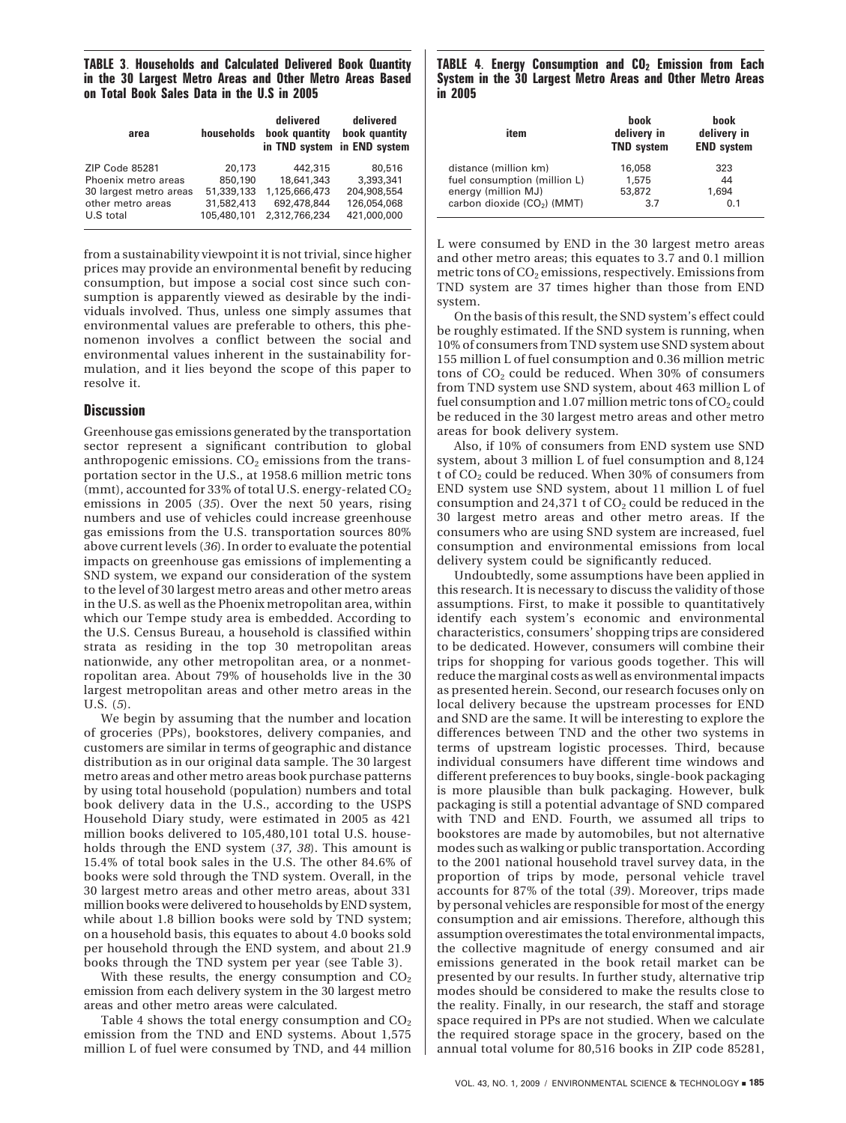**TABLE 3**. **Households and Calculated Delivered Book Quantity in the 30 Largest Metro Areas and Other Metro Areas Based on Total Book Sales Data in the U.S in 2005**

| area                   | households  | delivered<br>book quantity<br>in TND system in END system | delivered<br>book quantity |
|------------------------|-------------|-----------------------------------------------------------|----------------------------|
| ZIP Code 85281         | 20.173      | 442,315                                                   | 80,516                     |
| Phoenix metro areas    | 850,190     | 18,641,343                                                | 3.393.341                  |
| 30 largest metro areas | 51,339,133  | 1,125,666,473                                             | 204,908,554                |
| other metro areas      | 31.582.413  | 692.478.844                                               | 126.054.068                |
| U.S total              | 105,480,101 | 2,312,766,234                                             | 421.000.000                |

from a sustainability viewpoint it is not trivial, since higher prices may provide an environmental benefit by reducing consumption, but impose a social cost since such consumption is apparently viewed as desirable by the individuals involved. Thus, unless one simply assumes that environmental values are preferable to others, this phenomenon involves a conflict between the social and environmental values inherent in the sustainability formulation, and it lies beyond the scope of this paper to resolve it.

## **Discussion**

Greenhouse gas emissions generated by the transportation sector represent a significant contribution to global anthropogenic emissions.  $CO<sub>2</sub>$  emissions from the transportation sector in the U.S., at 1958.6 million metric tons (mmt), accounted for 33% of total U.S. energy-related  $CO<sub>2</sub>$ emissions in 2005 (*35*). Over the next 50 years, rising numbers and use of vehicles could increase greenhouse gas emissions from the U.S. transportation sources 80% above current levels (*36*). In order to evaluate the potential impacts on greenhouse gas emissions of implementing a SND system, we expand our consideration of the system to the level of 30 largest metro areas and other metro areas in the U.S. as well as the Phoenix metropolitan area, within which our Tempe study area is embedded. According to the U.S. Census Bureau, a household is classified within strata as residing in the top 30 metropolitan areas nationwide, any other metropolitan area, or a nonmetropolitan area. About 79% of households live in the 30 largest metropolitan areas and other metro areas in the U.S. (*5*).

We begin by assuming that the number and location of groceries (PPs), bookstores, delivery companies, and customers are similar in terms of geographic and distance distribution as in our original data sample. The 30 largest metro areas and other metro areas book purchase patterns by using total household (population) numbers and total book delivery data in the U.S., according to the USPS Household Diary study, were estimated in 2005 as 421 million books delivered to 105,480,101 total U.S. households through the END system (*37, 38*). This amount is 15.4% of total book sales in the U.S. The other 84.6% of books were sold through the TND system. Overall, in the 30 largest metro areas and other metro areas, about 331 million books were delivered to households by END system, while about 1.8 billion books were sold by TND system; on a household basis, this equates to about 4.0 books sold per household through the END system, and about 21.9 books through the TND system per year (see Table 3).

With these results, the energy consumption and  $CO<sub>2</sub>$ emission from each delivery system in the 30 largest metro areas and other metro areas were calculated.

Table 4 shows the total energy consumption and  $CO<sub>2</sub>$ emission from the TND and END systems. About 1,575 million L of fuel were consumed by TND, and 44 million **TABLE 4**. **Energy Consumption and CO2 Emission from Each System in the 30 Largest Metro Areas and Other Metro Areas in 2005**

| item                                    | hook<br>delivery in<br><b>TND</b> system | book<br>delivery in<br><b>END system</b> |
|-----------------------------------------|------------------------------------------|------------------------------------------|
| distance (million km)                   | 16,058                                   | 323                                      |
| fuel consumption (million L)            | 1,575                                    | 44                                       |
| energy (million MJ)                     | 53,872                                   | 1.694                                    |
| carbon dioxide (CO <sub>2</sub> ) (MMT) | 3.7                                      | 0.1                                      |

L were consumed by END in the 30 largest metro areas and other metro areas; this equates to 3.7 and 0.1 million metric tons of  $CO<sub>2</sub>$  emissions, respectively. Emissions from TND system are 37 times higher than those from END system.

On the basis of this result, the SND system's effect could be roughly estimated. If the SND system is running, when 10% of consumers from TND system use SND system about 155 million L of fuel consumption and 0.36 million metric tons of  $CO<sub>2</sub>$  could be reduced. When 30% of consumers from TND system use SND system, about 463 million L of fuel consumption and 1.07 million metric tons of  $CO<sub>2</sub>$  could be reduced in the 30 largest metro areas and other metro areas for book delivery system.

Also, if 10% of consumers from END system use SND system, about 3 million L of fuel consumption and 8,124 t of CO<sub>2</sub> could be reduced. When 30% of consumers from END system use SND system, about 11 million L of fuel consumption and 24,371 t of  $CO<sub>2</sub>$  could be reduced in the 30 largest metro areas and other metro areas. If the consumers who are using SND system are increased, fuel consumption and environmental emissions from local delivery system could be significantly reduced.

Undoubtedly, some assumptions have been applied in this research. It is necessary to discuss the validity of those assumptions. First, to make it possible to quantitatively identify each system's economic and environmental characteristics, consumers' shopping trips are considered to be dedicated. However, consumers will combine their trips for shopping for various goods together. This will reduce the marginal costs as well as environmental impacts as presented herein. Second, our research focuses only on local delivery because the upstream processes for END and SND are the same. It will be interesting to explore the differences between TND and the other two systems in terms of upstream logistic processes. Third, because individual consumers have different time windows and different preferences to buy books, single-book packaging is more plausible than bulk packaging. However, bulk packaging is still a potential advantage of SND compared with TND and END. Fourth, we assumed all trips to bookstores are made by automobiles, but not alternative modes such as walking or public transportation. According to the 2001 national household travel survey data, in the proportion of trips by mode, personal vehicle travel accounts for 87% of the total (*39*). Moreover, trips made by personal vehicles are responsible for most of the energy consumption and air emissions. Therefore, although this assumption overestimates the total environmental impacts, the collective magnitude of energy consumed and air emissions generated in the book retail market can be presented by our results. In further study, alternative trip modes should be considered to make the results close to the reality. Finally, in our research, the staff and storage space required in PPs are not studied. When we calculate the required storage space in the grocery, based on the annual total volume for 80,516 books in ZIP code 85281,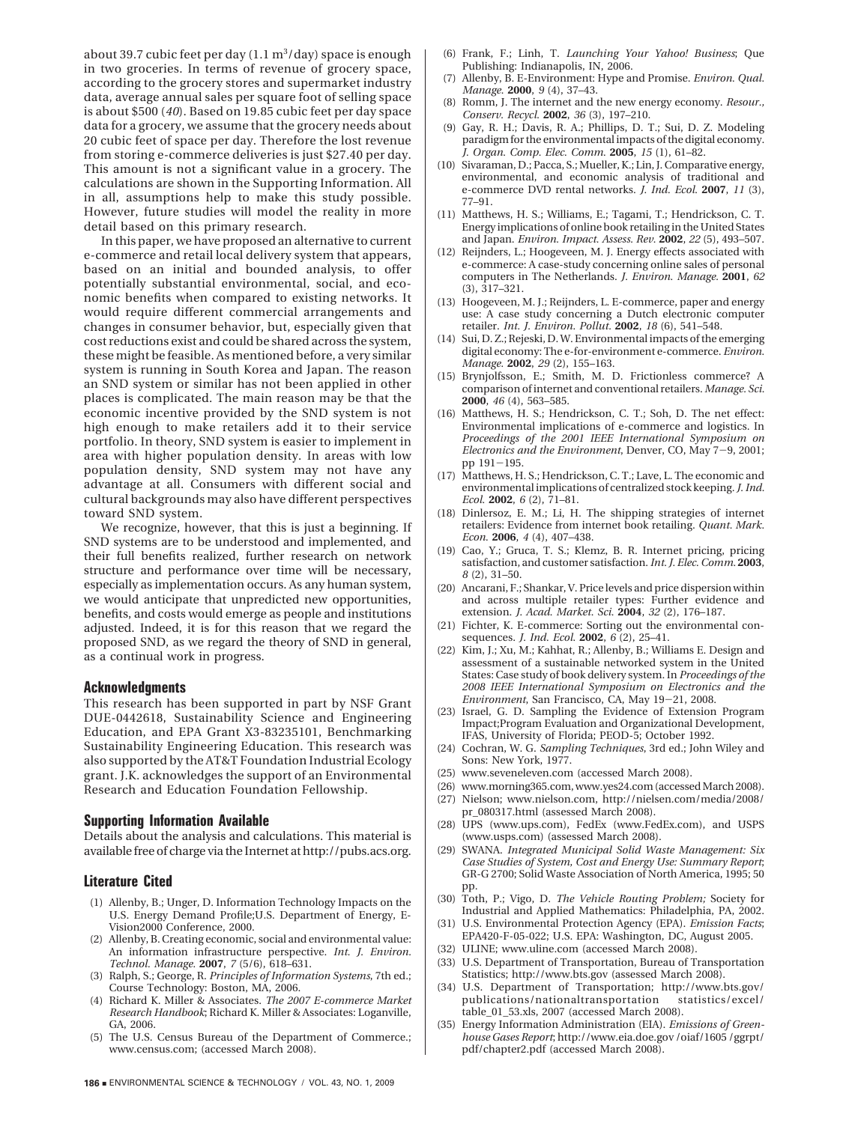about 39.7 cubic feet per day  $(1.1 \text{ m}^3/\text{day})$  space is enough in two groceries. In terms of revenue of grocery space, according to the grocery stores and supermarket industry data, average annual sales per square foot of selling space is about \$500 (*40*). Based on 19.85 cubic feet per day space data for a grocery, we assume that the grocery needs about 20 cubic feet of space per day. Therefore the lost revenue from storing e-commerce deliveries is just \$27.40 per day. This amount is not a significant value in a grocery. The calculations are shown in the Supporting Information. All in all, assumptions help to make this study possible. However, future studies will model the reality in more detail based on this primary research.

In this paper, we have proposed an alternative to current e-commerce and retail local delivery system that appears, based on an initial and bounded analysis, to offer potentially substantial environmental, social, and economic benefits when compared to existing networks. It would require different commercial arrangements and changes in consumer behavior, but, especially given that cost reductions exist and could be shared across the system, these might be feasible. As mentioned before, a very similar system is running in South Korea and Japan. The reason an SND system or similar has not been applied in other places is complicated. The main reason may be that the economic incentive provided by the SND system is not high enough to make retailers add it to their service portfolio. In theory, SND system is easier to implement in area with higher population density. In areas with low population density, SND system may not have any advantage at all. Consumers with different social and cultural backgrounds may also have different perspectives toward SND system.

We recognize, however, that this is just a beginning. If SND systems are to be understood and implemented, and their full benefits realized, further research on network structure and performance over time will be necessary, especially as implementation occurs. As any human system, we would anticipate that unpredicted new opportunities, benefits, and costs would emerge as people and institutions adjusted. Indeed, it is for this reason that we regard the proposed SND, as we regard the theory of SND in general, as a continual work in progress.

#### **Acknowledgments**

This research has been supported in part by NSF Grant DUE-0442618, Sustainability Science and Engineering Education, and EPA Grant X3-83235101, Benchmarking Sustainability Engineering Education. This research was also supported by the AT&T Foundation Industrial Ecology grant. J.K. acknowledges the support of an Environmental Research and Education Foundation Fellowship.

#### **Supporting Information Available**

Details about the analysis and calculations. This material is available free of charge via the Internet at http://pubs.acs.org.

#### **Literature Cited**

- (1) Allenby, B.; Unger, D. Information Technology Impacts on the U.S. Energy Demand Profile;U.S. Department of Energy, E-Vision2000 Conference, 2000.
- (2) Allenby, B. Creating economic, social and environmental value: An information infrastructure perspective. *Int. J. Environ. Technol. Manage.* **2007**, *7* (5/6), 618–631.
- (3) Ralph, S.; George, R. *Principles of Information Systems*, 7th ed.; Course Technology: Boston, MA, 2006.
- (4) Richard K. Miller & Associates. *The 2007 E-commerce Market Research Handbook*; Richard K. Miller & Associates: Loganville, GA, 2006.
- (5) The U.S. Census Bureau of the Department of Commerce.; www.census.com; (accessed March 2008).
- (6) Frank, F.; Linh, T. *Launching Your Yahoo! Business*; Que Publishing: Indianapolis, IN, 2006.
- (7) Allenby, B. E-Environment: Hype and Promise. *Environ. Qual. Manage.* **2000**, *9* (4), 37–43.
- (8) Romm, J. The internet and the new energy economy. *Resour., Conserv. Recycl.* **2002**, *36* (3), 197–210.
- (9) Gay, R. H.; Davis, R. A.; Phillips, D. T.; Sui, D. Z. Modeling paradigm for the environmental impacts of the digital economy. *J. Organ. Comp. Elec. Comm.* **2005**, *15* (1), 61–82.
- (10) Sivaraman, D.; Pacca, S.; Mueller, K.; Lin, J. Comparative energy, environmental, and economic analysis of traditional and e-commerce DVD rental networks. *J. Ind. Ecol.* **2007**, *11* (3), 77–91.
- (11) Matthews, H. S.; Williams, E.; Tagami, T.; Hendrickson, C. T. Energy implications of online book retailing in the United States and Japan. *Environ. Impact. Assess. Rev.* **2002**, *22* (5), 493–507.
- (12) Reijnders, L.; Hoogeveen, M. J. Energy effects associated with e-commerce: A case-study concerning online sales of personal computers in The Netherlands. *J. Environ. Manage.* **2001**, *62* (3), 317–321.
- (13) Hoogeveen, M. J.; Reijnders, L. E-commerce, paper and energy use: A case study concerning a Dutch electronic computer retailer. *Int. J. Environ. Pollut.* **2002**, *18* (6), 541–548.
- (14) Sui, D. Z.; Rejeski, D. W. Environmental impacts of the emerging digital economy: The e-for-environment e-commerce. *Environ. Manage.* **2002**, *29* (2), 155–163.
- (15) Brynjolfsson, E.; Smith, M. D. Frictionless commerce? A comparison of internet and conventional retailers. *Manage. Sci.* **2000**, *46* (4), 563–585.
- (16) Matthews, H. S.; Hendrickson, C. T.; Soh, D. The net effect: Environmental implications of e-commerce and logistics. In *Proceedings of the 2001 IEEE International Symposium on Electronics and the Environment*, Denver, CO, May 7-9, 2001; pp 191-195.
- (17) Matthews, H. S.; Hendrickson, C. T.; Lave, L. The economic and environmental implications of centralized stock keeping.*J. Ind. Ecol.* **2002**, *6* (2), 71–81.
- (18) Dinlersoz, E. M.; Li, H. The shipping strategies of internet retailers: Evidence from internet book retailing. *Quant. Mark. Econ.* **2006**, *4* (4), 407–438.
- (19) Cao, Y.; Gruca, T. S.; Klemz, B. R. Internet pricing, pricing satisfaction, and customer satisfaction.*Int. J. Elec. Comm.* **2003**, *8* (2), 31–50.
- (20) Ancarani, F.; Shankar, V. Price levels and price dispersion within and across multiple retailer types: Further evidence and extension. *J. Acad. Market. Sci.* **2004**, *32* (2), 176–187.
- (21) Fichter, K. E-commerce: Sorting out the environmental consequences. *J. Ind. Ecol.* **2002**, *6* (2), 25–41.
- (22) Kim, J.; Xu, M.; Kahhat, R.; Allenby, B.; Williams E. Design and assessment of a sustainable networked system in the United States: Case study of book delivery system. In *Proceedings of the 2008 IEEE International Symposium on Electronics and the Environment*, San Francisco, CA, May 19-21, 2008.
- (23) Israel, G. D. Sampling the Evidence of Extension Program Impact;Program Evaluation and Organizational Development, IFAS, University of Florida; PEOD-5; October 1992.
- (24) Cochran, W. G. *Sampling Techniques*, 3rd ed.; John Wiley and Sons: New York, 1977.
- (25) www.seveneleven.com (accessed March 2008).
- (26) www.morning365.com, www.yes24.com (accessed March 2008).
- (27) Nielson; www.nielson.com, http://nielsen.com/media/2008/ pr\_080317.html (assessed March 2008).
- (28) UPS (www.ups.com), FedEx (www.FedEx.com), and USPS (www.usps.com) (assessed March 2008).
- (29) SWANA. *Integrated Municipal Solid Waste Management: Six Case Studies of System, Cost and Energy Use: Summary Report*; GR-G 2700; Solid Waste Association of North America, 1995; 50 pp.
- (30) Toth, P.; Vigo, D. *The Vehicle Routing Problem;* Society for Industrial and Applied Mathematics: Philadelphia, PA, 2002.
- (31) U.S. Environmental Protection Agency (EPA). *Emission Facts*; EPA420-F-05-022; U.S. EPA: Washington, DC, August 2005.
- (32) ULINE; www.uline.com (accessed March 2008).
- (33) U.S. Department of Transportation, Bureau of Transportation Statistics; http://www.bts.gov (assessed March 2008).
- (34) U.S. Department of Transportation; http://www.bts.gov/ publications/nationaltransportation statistics/excel/ table\_01\_53.xls, 2007 (accessed March 2008).
- (35) Energy Information Administration (EIA). *Emissions of Greenhouse Gases Report*; http://www.eia.doe.gov /oiaf/1605 /ggrpt/ pdf/chapter2.pdf (accessed March 2008).